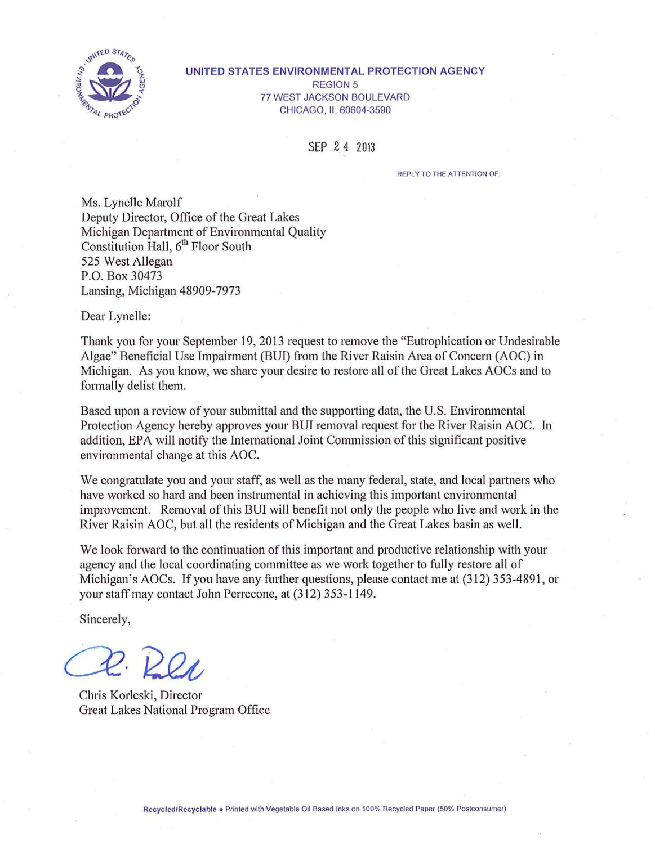

#### UNITED STATES ENVIRONMENTAL PROTECTION AGENCY REGION 5 77 WEST JACKSON BOULEVARD CHICAGO, IL 60604-3590

SEP 2 4 2013

REPLY TO THE ATTENTION OF:

Ms. Lynelle Marolf Deputy Director, Office of the Great Lakes Michigan Department of Environmental Quality Constitution Hall, 6<sup>th</sup> Floor South 525 West Allegan P.O. Box 30473 Lansing, Michigan 48909-7973

Dear Lynelle:

Thank you for your September 19, 2013 request to remove the "Eutrophication or Undesirable Algae" Beneficial Use Impairment (BUI) from the River Raisin Area of Concern (AOC) in Michigan. As you know, we share your desire to restore all of the Great Lakes AOCs and to formally delist them.

Based upon a review of your submittal and the supporting data, the U.S. Environmental Protection Agency hereby approves your BUI removal request for the River Raisin AOC. In addition, EPA will notify the International Joint Commission of this significant positive environmental change at this AOC.

We congratulate you and your staff, as well as the many federal, state, and local partners who have worked so hard and been instrumental in achieving this important environmental improvement. Removal of this BUI will benefit not only the people who live and work in the River Raisin AOC, but all the residents of Michigan and the Great Lakes basin as well.

We look forward to the continuation of this important and productive relationship with your agency and the local coordinating committee as we work together to fully restore all of Michigan's AOCs. If you have any further questions, please contact me at (312) 353-4891, or your staff may contact Jolm Perrecone, at (312) 353-1149.

Sincerely,

Chris Korleski, Director Great Lakes National Program Office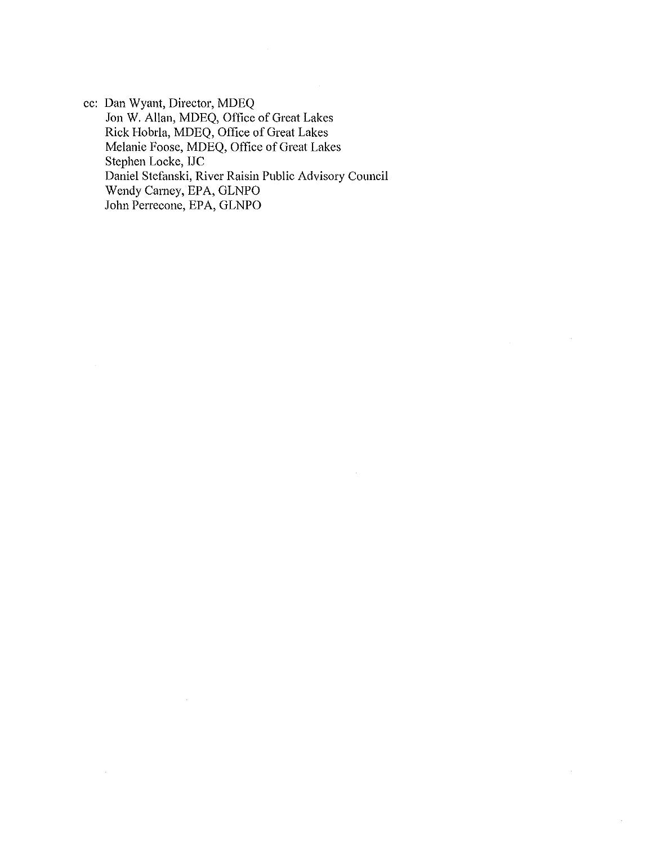cc: Dan Wyant, Director, MDEQ Jon W. Allan, MDEQ, Office of Great Lakes Rick Hobrla, MDEQ, Office of Great Lakes Melanie Foose, MDEQ, Office of Great Lakes Stephen Locke, IJC Daniel Stefanski, River Raisin Public Advisory Council Wendy Carney, EPA, GLNPO John Perrecone, EPA, GLNPO

 $\mathcal{L}$ 

à.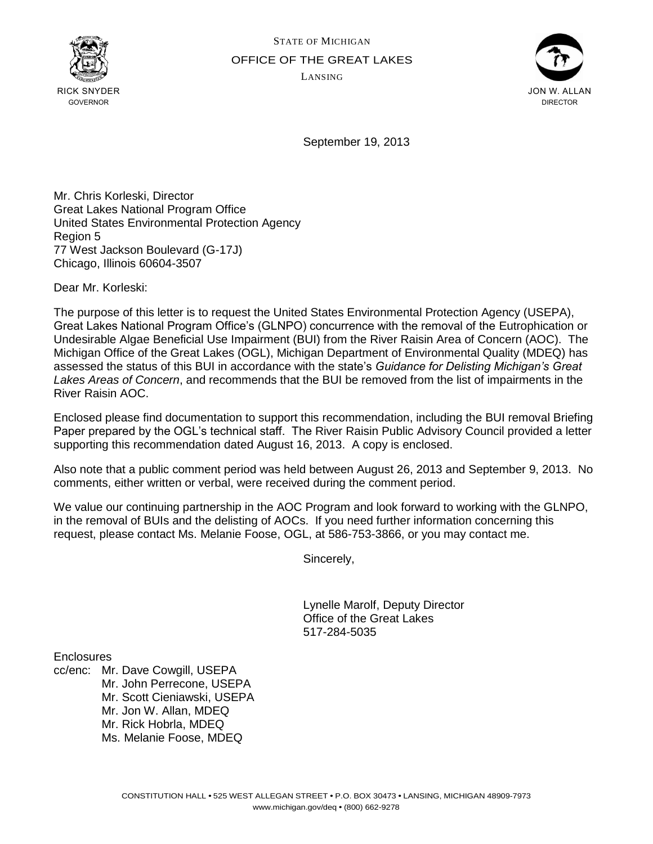



September 19, 2013

Mr. Chris Korleski, Director Great Lakes National Program Office United States Environmental Protection Agency Region 5 77 West Jackson Boulevard (G-17J) Chicago, Illinois 60604-3507

Dear Mr. Korleski:

The purpose of this letter is to request the United States Environmental Protection Agency (USEPA), Great Lakes National Program Office's (GLNPO) concurrence with the removal of the Eutrophication or Undesirable Algae Beneficial Use Impairment (BUI) from the River Raisin Area of Concern (AOC). The Michigan Office of the Great Lakes (OGL), Michigan Department of Environmental Quality (MDEQ) has assessed the status of this BUI in accordance with the state's *Guidance for Delisting Michigan's Great Lakes Areas of Concern*, and recommends that the BUI be removed from the list of impairments in the River Raisin AOC.

Enclosed please find documentation to support this recommendation, including the BUI removal Briefing Paper prepared by the OGL's technical staff. The River Raisin Public Advisory Council provided a letter supporting this recommendation dated August 16, 2013. A copy is enclosed.

Also note that a public comment period was held between August 26, 2013 and September 9, 2013. No comments, either written or verbal, were received during the comment period.

We value our continuing partnership in the AOC Program and look forward to working with the GLNPO, in the removal of BUIs and the delisting of AOCs. If you need further information concerning this request, please contact Ms. Melanie Foose, OGL, at 586-753-3866, or you may contact me.

Sincerely,

Lynelle Marolf, Deputy Director Office of the Great Lakes 517-284-5035

**Enclosures** 

cc/enc: Mr. Dave Cowgill, USEPA Mr. John Perrecone, USEPA Mr. Scott Cieniawski, USEPA Mr. Jon W. Allan, MDEQ Mr. Rick Hobrla, MDEQ Ms. Melanie Foose, MDEQ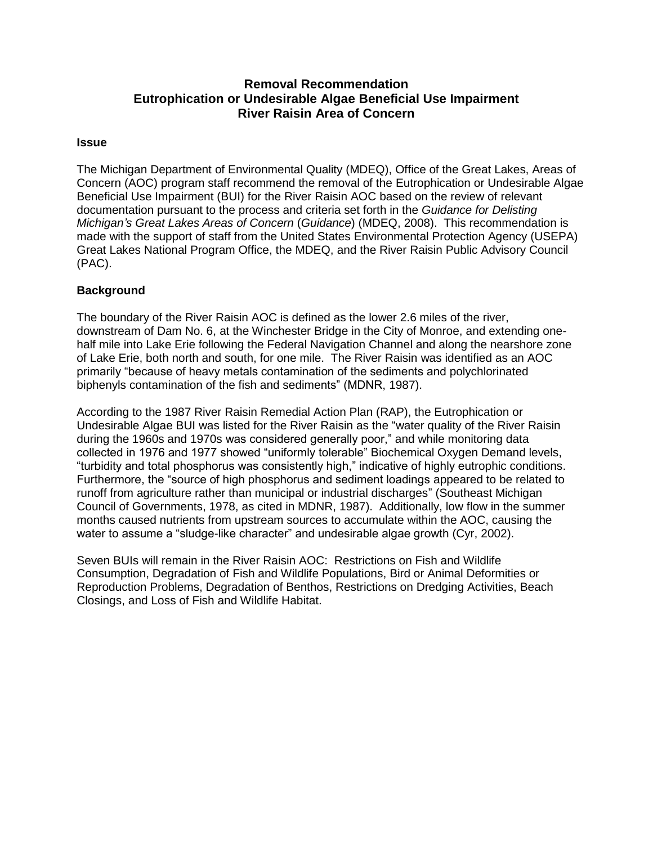# **Removal Recommendation Eutrophication or Undesirable Algae Beneficial Use Impairment River Raisin Area of Concern**

### **Issue**

The Michigan Department of Environmental Quality (MDEQ), Office of the Great Lakes, Areas of Concern (AOC) program staff recommend the removal of the Eutrophication or Undesirable Algae Beneficial Use Impairment (BUI) for the River Raisin AOC based on the review of relevant documentation pursuant to the process and criteria set forth in the *Guidance for Delisting Michigan's Great Lakes Areas of Concern* (*Guidance*) (MDEQ, 2008). This recommendation is made with the support of staff from the United States Environmental Protection Agency (USEPA) Great Lakes National Program Office, the MDEQ, and the River Raisin Public Advisory Council (PAC).

### **Background**

The boundary of the River Raisin AOC is defined as the lower 2.6 miles of the river, downstream of Dam No. 6, at the Winchester Bridge in the City of Monroe, and extending onehalf mile into Lake Erie following the Federal Navigation Channel and along the nearshore zone of Lake Erie, both north and south, for one mile. The River Raisin was identified as an AOC primarily "because of heavy metals contamination of the sediments and polychlorinated biphenyls contamination of the fish and sediments" (MDNR, 1987).

According to the [1987 River Raisin Remedial Action Plan \(RAP\),](http://epa.gov/glnpo/aoc/rvraisin.html) the Eutrophication or Undesirable Algae BUI was listed for the River Raisin as the "water quality of the River Raisin during the 1960s and 1970s was considered generally poor," and while monitoring data collected in 1976 and 1977 showed "uniformly tolerable" Biochemical Oxygen Demand levels, "turbidity and total phosphorus was consistently high," indicative of highly eutrophic conditions. Furthermore, the "source of high phosphorus and sediment loadings appeared to be related to runoff from agriculture rather than municipal or industrial discharges" (Southeast Michigan Council of Governments, 1978, as cited in MDNR, 1987). Additionally, low flow in the summer months caused nutrients from upstream sources to accumulate within the AOC, causing the water to assume a "sludge-like character" and undesirable algae growth (Cyr, 2002).

Seven BUIs will remain in the River Raisin AOC: Restrictions on Fish and Wildlife Consumption, Degradation of Fish and Wildlife Populations, Bird or Animal Deformities or Reproduction Problems, Degradation of Benthos, Restrictions on Dredging Activities, Beach Closings, and Loss of Fish and Wildlife Habitat.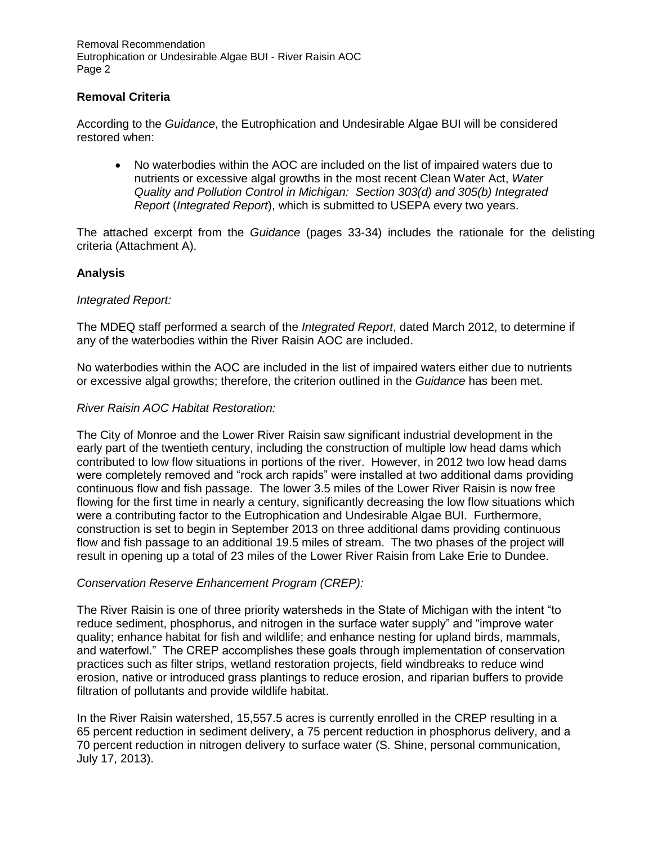### **Removal Criteria**

According to the *Guidance*, the Eutrophication and Undesirable Algae BUI will be considered restored when:

 No waterbodies within the AOC are included on the list of impaired waters due to nutrients or excessive algal growths in the most recent Clean Water Act, *Water Quality and Pollution Control in Michigan: Section 303(d) and 305(b) Integrated Report* (*Integrated Report*), which is submitted to USEPA every two years.

The attached excerpt from the *Guidance* (pages 33-34) includes the rationale for the delisting criteria (Attachment A).

### **Analysis**

#### *Integrated Report:*

The MDEQ staff performed a search of the *Integrated Report*, dated March 2012, to determine if any of the waterbodies within the River Raisin AOC are included.

No waterbodies within the AOC are included in the list of impaired waters either due to nutrients or excessive algal growths; therefore, the criterion outlined in the *Guidance* has been met.

#### *River Raisin AOC Habitat Restoration:*

The City of Monroe and the Lower River Raisin saw significant industrial development in the early part of the twentieth century, including the construction of multiple low head dams which contributed to low flow situations in portions of the river. However, in 2012 two low head dams were completely removed and "rock arch rapids" were installed at two additional dams providing continuous flow and fish passage. The lower 3.5 miles of the Lower River Raisin is now free flowing for the first time in nearly a century, significantly decreasing the low flow situations which were a contributing factor to the Eutrophication and Undesirable Algae BUI. Furthermore, construction is set to begin in September 2013 on three additional dams providing continuous flow and fish passage to an additional 19.5 miles of stream. The two phases of the project will result in opening up a total of 23 miles of the Lower River Raisin from Lake Erie to Dundee.

### *Conservation Reserve Enhancement Program (CREP):*

The River Raisin is one of three priority watersheds in the State of Michigan with the intent "to reduce sediment, phosphorus, and nitrogen in the surface water supply" and "improve water quality; enhance habitat for fish and wildlife; and enhance nesting for upland birds, mammals, and waterfowl." The CREP accomplishes these goals through implementation of conservation practices such as filter strips, wetland restoration projects, field windbreaks to reduce wind erosion, native or introduced grass plantings to reduce erosion, and riparian buffers to provide filtration of pollutants and provide wildlife habitat.

In the River Raisin watershed, 15,557.5 acres is currently enrolled in the CREP resulting in a 65 percent reduction in sediment delivery, a 75 percent reduction in phosphorus delivery, and a 70 percent reduction in nitrogen delivery to surface water (S. Shine, personal communication, July 17, 2013).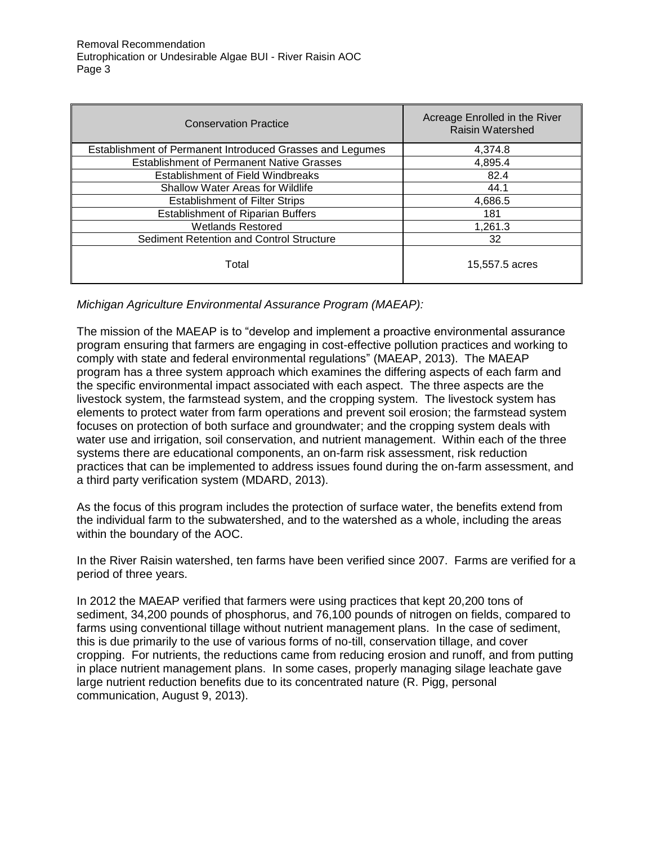| <b>Conservation Practice</b>                              | Acreage Enrolled in the River<br><b>Raisin Watershed</b> |
|-----------------------------------------------------------|----------------------------------------------------------|
| Establishment of Permanent Introduced Grasses and Legumes | 4,374.8                                                  |
| <b>Establishment of Permanent Native Grasses</b>          | 4,895.4                                                  |
| <b>Establishment of Field Windbreaks</b>                  | 82.4                                                     |
| <b>Shallow Water Areas for Wildlife</b>                   | 44.1                                                     |
| <b>Establishment of Filter Strips</b>                     | 4,686.5                                                  |
| <b>Establishment of Riparian Buffers</b>                  | 181                                                      |
| <b>Wetlands Restored</b>                                  | 1,261.3                                                  |
| Sediment Retention and Control Structure                  | 32                                                       |
| Total                                                     | 15,557.5 acres                                           |

*Michigan Agriculture Environmental Assurance Program (MAEAP):* 

The mission of the MAEAP is to "develop and implement a proactive environmental assurance program ensuring that farmers are engaging in cost-effective pollution practices and working to comply with state and federal environmental regulations" (MAEAP, 2013). The MAEAP program has a three system approach which examines the differing aspects of each farm and the specific environmental impact associated with each aspect. The three aspects are the livestock system, the farmstead system, and the cropping system. The livestock system has elements to protect water from farm operations and prevent soil erosion; the farmstead system focuses on protection of both surface and groundwater; and the cropping system deals with water use and irrigation, soil conservation, and nutrient management. Within each of the three systems there are educational components, an on-farm risk assessment, risk reduction practices that can be implemented to address issues found during the on-farm assessment, and a third party verification system (MDARD, 2013).

As the focus of this program includes the protection of surface water, the benefits extend from the individual farm to the subwatershed, and to the watershed as a whole, including the areas within the boundary of the AOC.

In the River Raisin watershed, ten farms have been verified since 2007. Farms are verified for a period of three years.

In 2012 the MAEAP verified that farmers were using practices that kept 20,200 tons of sediment, 34,200 pounds of phosphorus, and 76,100 pounds of nitrogen on fields, compared to farms using conventional tillage without nutrient management plans. In the case of sediment, this is due primarily to the use of various forms of no-till, conservation tillage, and cover cropping. For nutrients, the reductions came from reducing erosion and runoff, and from putting in place nutrient management plans. In some cases, properly managing silage leachate gave large nutrient reduction benefits due to its concentrated nature (R. Pigg, personal communication, August 9, 2013).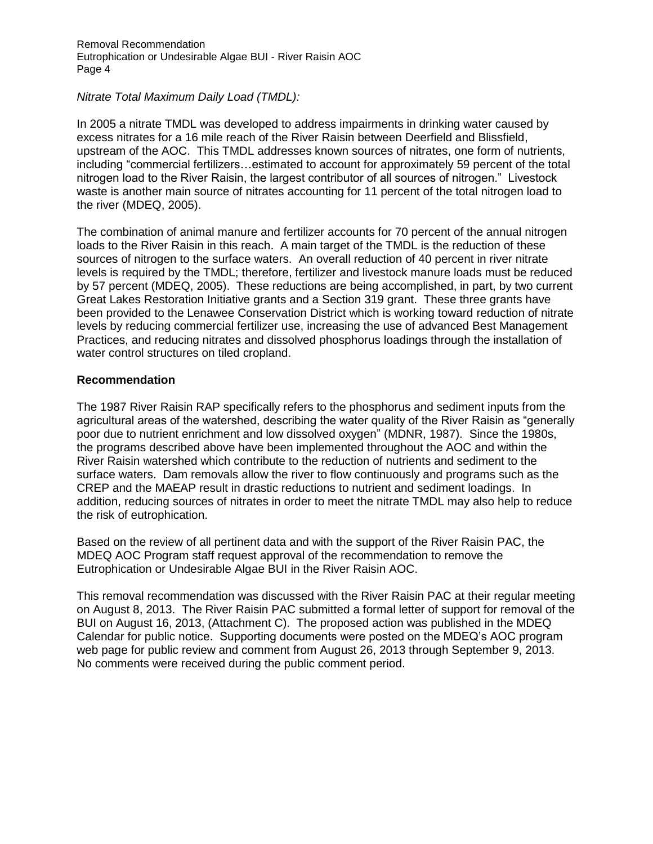#### *Nitrate Total Maximum Daily Load (TMDL):*

In 2005 a nitrate TMDL was developed to address impairments in drinking water caused by excess nitrates for a 16 mile reach of the River Raisin between Deerfield and Blissfield, upstream of the AOC. This TMDL addresses known sources of nitrates, one form of nutrients, including "commercial fertilizers…estimated to account for approximately 59 percent of the total nitrogen load to the River Raisin, the largest contributor of all sources of nitrogen." Livestock waste is another main source of nitrates accounting for 11 percent of the total nitrogen load to the river (MDEQ, 2005).

The combination of animal manure and fertilizer accounts for 70 percent of the annual nitrogen loads to the River Raisin in this reach. A main target of the TMDL is the reduction of these sources of nitrogen to the surface waters. An overall reduction of 40 percent in river nitrate levels is required by the TMDL; therefore, fertilizer and livestock manure loads must be reduced by 57 percent (MDEQ, 2005). These reductions are being accomplished, in part, by two current Great Lakes Restoration Initiative grants and a Section 319 grant. These three grants have been provided to the Lenawee Conservation District which is working toward reduction of nitrate levels by reducing commercial fertilizer use, increasing the use of advanced Best Management Practices, and reducing nitrates and dissolved phosphorus loadings through the installation of water control structures on tiled cropland.

#### **Recommendation**

The 1987 River Raisin RAP specifically refers to the phosphorus and sediment inputs from the agricultural areas of the watershed, describing the water quality of the River Raisin as "generally poor due to nutrient enrichment and low dissolved oxygen" (MDNR, 1987). Since the 1980s, the programs described above have been implemented throughout the AOC and within the River Raisin watershed which contribute to the reduction of nutrients and sediment to the surface waters. Dam removals allow the river to flow continuously and programs such as the CREP and the MAEAP result in drastic reductions to nutrient and sediment loadings. In addition, reducing sources of nitrates in order to meet the nitrate TMDL may also help to reduce the risk of eutrophication.

Based on the review of all pertinent data and with the support of the River Raisin PAC, the MDEQ AOC Program staff request approval of the recommendation to remove the Eutrophication or Undesirable Algae BUI in the River Raisin AOC.

This removal recommendation was discussed with the River Raisin PAC at their regular meeting on August 8, 2013. The River Raisin PAC submitted a formal letter of support for removal of the BUI on August 16, 2013, (Attachment C). The proposed action was published in the MDEQ Calendar for public notice. Supporting documents were posted on the MDEQ's AOC program web page for public review and comment from August 26, 2013 through September 9, 2013. No comments were received during the public comment period.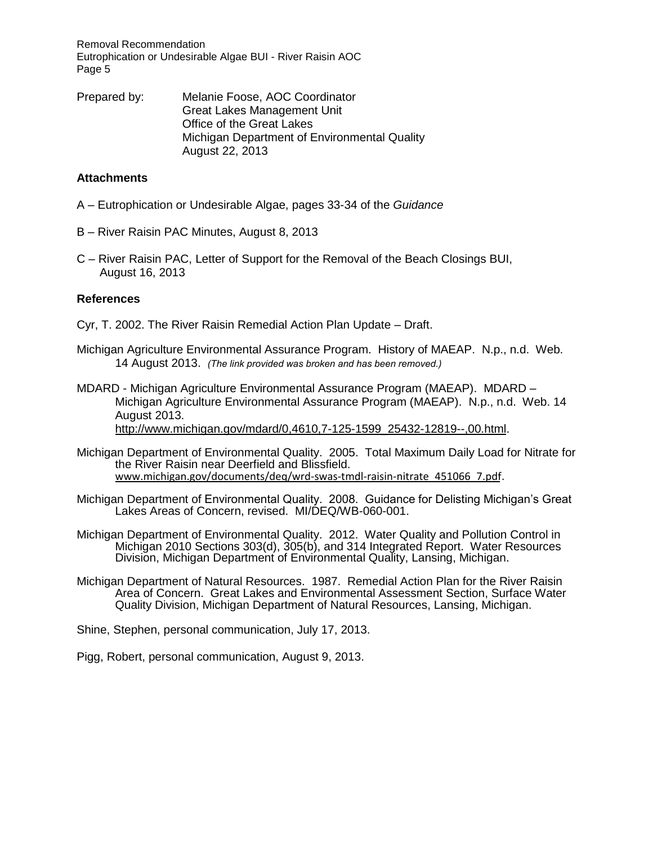Removal Recommendation Eutrophication or Undesirable Algae BUI - River Raisin AOC Page 5

Prepared by: Melanie Foose, AOC Coordinator Great Lakes Management Unit Office of the Great Lakes Michigan Department of Environmental Quality August 22, 2013

#### **Attachments**

- A Eutrophication or Undesirable Algae, pages 33-34 of the *Guidance*
- B River Raisin PAC Minutes, August 8, 2013
- C River Raisin PAC, Letter of Support for the Removal of the Beach Closings BUI, August 16, 2013

#### **References**

- Cyr, T. 2002. The River Raisin Remedial Action Plan Update Draft.
- Michigan Agriculture Environmental Assurance Program. History of MAEAP. N.p., n.d. Web. 14 August 2013. *(The link provided was broken and has been removed.)*
- MDARD Michigan Agriculture Environmental Assurance Program (MAEAP). MDARD Michigan Agriculture Environmental Assurance Program (MAEAP). N.p., n.d. Web. 14 August 2013.

[http://www.michigan.gov/mdard/0,4610,7-125-1599\\_25432-12819--,00.html.](http://www.michigan.gov/mdard/0,4610,7-125-1599_25432-12819--,00.html)

- Michigan Department of Environmental Quality. 2005. Total Maximum Daily Load for Nitrate for the River Raisin near Deerfield and Blissfield. [www.michigan.gov/documents/deq/wrd-swas-tmdl-raisin-nitrate\\_451066\\_7.pdf.](http://www.michigan.gov/documents/deq/wrd-swas-tmdl-raisin-nitrate_451066_7.pdf)
- Michigan Department of Environmental Quality. 2008. Guidance for Delisting Michigan's Great Lakes Areas of Concern, revised. MI/DEQ/WB-060-001.
- Michigan Department of Environmental Quality. 2012. Water Quality and Pollution Control in Michigan 2010 Sections 303(d), 305(b), and 314 Integrated Report. Water Resources Division, Michigan Department of Environmental Quality, Lansing, Michigan.
- Michigan Department of Natural Resources. 1987. Remedial Action Plan for the River Raisin Area of Concern. Great Lakes and Environmental Assessment Section, Surface Water Quality Division, Michigan Department of Natural Resources, Lansing, Michigan.

Shine, Stephen, personal communication, July 17, 2013.

Pigg, Robert, personal communication, August 9, 2013.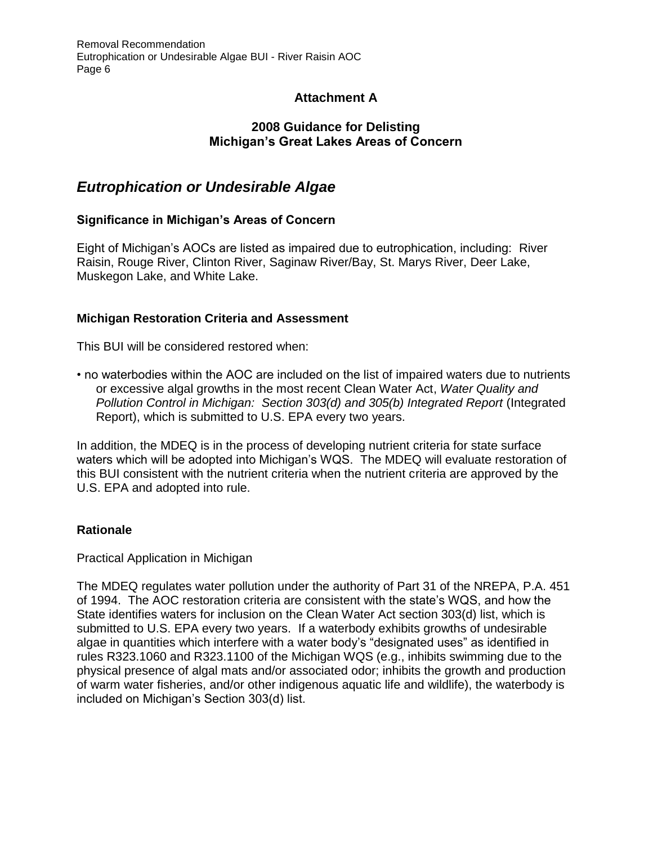# **Attachment A**

# **2008 Guidance for Delisting Michigan's Great Lakes Areas of Concern**

# *Eutrophication or Undesirable Algae*

# **Significance in Michigan's Areas of Concern**

Eight of Michigan's AOCs are listed as impaired due to eutrophication, including: River Raisin, Rouge River, Clinton River, Saginaw River/Bay, St. Marys River, Deer Lake, Muskegon Lake, and White Lake.

# **Michigan Restoration Criteria and Assessment**

This BUI will be considered restored when:

• no waterbodies within the AOC are included on the list of impaired waters due to nutrients or excessive algal growths in the most recent Clean Water Act, *Water Quality and Pollution Control in Michigan: Section 303(d) and 305(b) Integrated Report* (Integrated Report), which is submitted to U.S. EPA every two years.

In addition, the MDEQ is in the process of developing nutrient criteria for state surface waters which will be adopted into Michigan's WQS. The MDEQ will evaluate restoration of this BUI consistent with the nutrient criteria when the nutrient criteria are approved by the U.S. EPA and adopted into rule.

# **Rationale**

Practical Application in Michigan

The MDEQ regulates water pollution under the authority of Part 31 of the NREPA, P.A. 451 of 1994. The AOC restoration criteria are consistent with the state's WQS, and how the State identifies waters for inclusion on the Clean Water Act section 303(d) list, which is submitted to U.S. EPA every two years. If a waterbody exhibits growths of undesirable algae in quantities which interfere with a water body's "designated uses" as identified in rules R323.1060 and R323.1100 of the Michigan WQS (e.g., inhibits swimming due to the physical presence of algal mats and/or associated odor; inhibits the growth and production of warm water fisheries, and/or other indigenous aquatic life and wildlife), the waterbody is included on Michigan's Section 303(d) list.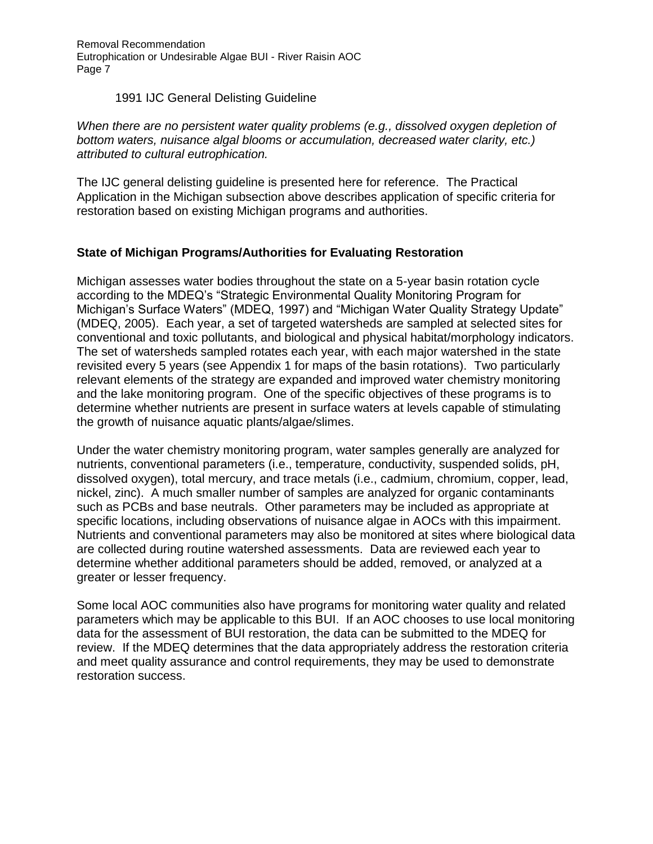Removal Recommendation Eutrophication or Undesirable Algae BUI - River Raisin AOC Page 7

### 1991 IJC General Delisting Guideline

*When there are no persistent water quality problems (e.g., dissolved oxygen depletion of bottom waters, nuisance algal blooms or accumulation, decreased water clarity, etc.) attributed to cultural eutrophication.* 

The IJC general delisting guideline is presented here for reference. The Practical Application in the Michigan subsection above describes application of specific criteria for restoration based on existing Michigan programs and authorities.

### **State of Michigan Programs/Authorities for Evaluating Restoration**

Michigan assesses water bodies throughout the state on a 5-year basin rotation cycle according to the MDEQ's "Strategic Environmental Quality Monitoring Program for Michigan's Surface Waters" (MDEQ, 1997) and "Michigan Water Quality Strategy Update" (MDEQ, 2005). Each year, a set of targeted watersheds are sampled at selected sites for conventional and toxic pollutants, and biological and physical habitat/morphology indicators. The set of watersheds sampled rotates each year, with each major watershed in the state revisited every 5 years (see Appendix 1 for maps of the basin rotations). Two particularly relevant elements of the strategy are expanded and improved water chemistry monitoring and the lake monitoring program. One of the specific objectives of these programs is to determine whether nutrients are present in surface waters at levels capable of stimulating the growth of nuisance aquatic plants/algae/slimes.

Under the water chemistry monitoring program, water samples generally are analyzed for nutrients, conventional parameters (i.e., temperature, conductivity, suspended solids, pH, dissolved oxygen), total mercury, and trace metals (i.e., cadmium, chromium, copper, lead, nickel, zinc). A much smaller number of samples are analyzed for organic contaminants such as PCBs and base neutrals. Other parameters may be included as appropriate at specific locations, including observations of nuisance algae in AOCs with this impairment. Nutrients and conventional parameters may also be monitored at sites where biological data are collected during routine watershed assessments. Data are reviewed each year to determine whether additional parameters should be added, removed, or analyzed at a greater or lesser frequency.

Some local AOC communities also have programs for monitoring water quality and related parameters which may be applicable to this BUI. If an AOC chooses to use local monitoring data for the assessment of BUI restoration, the data can be submitted to the MDEQ for review. If the MDEQ determines that the data appropriately address the restoration criteria and meet quality assurance and control requirements, they may be used to demonstrate restoration success.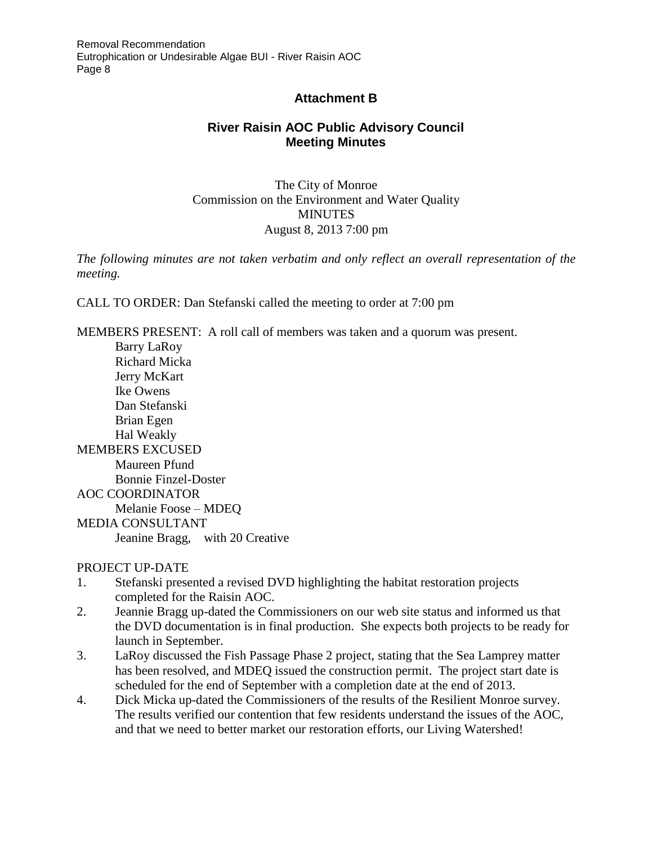# **Attachment B**

# **River Raisin AOC Public Advisory Council Meeting Minutes**

The City of Monroe Commission on the Environment and Water Quality **MINUTES** August 8, 2013 7:00 pm

*The following minutes are not taken verbatim and only reflect an overall representation of the meeting.* 

CALL TO ORDER: Dan Stefanski called the meeting to order at 7:00 pm

MEMBERS PRESENT: A roll call of members was taken and a quorum was present.

 Barry LaRoy Richard Micka Jerry McKart Ike Owens Dan Stefanski Brian Egen Hal Weakly MEMBERS EXCUSED Maureen Pfund Bonnie Finzel-Doster AOC COORDINATOR Melanie Foose – MDEQ MEDIA CONSULTANT Jeanine Bragg, with 20 Creative

### PROJECT UP-DATE

- 1. Stefanski presented a revised DVD highlighting the habitat restoration projects completed for the Raisin AOC.
- 2. Jeannie Bragg up-dated the Commissioners on our web site status and informed us that the DVD documentation is in final production. She expects both projects to be ready for launch in September.
- 3. LaRoy discussed the Fish Passage Phase 2 project, stating that the Sea Lamprey matter has been resolved, and MDEQ issued the construction permit. The project start date is scheduled for the end of September with a completion date at the end of 2013.
- 4. Dick Micka up-dated the Commissioners of the results of the Resilient Monroe survey. The results verified our contention that few residents understand the issues of the AOC, and that we need to better market our restoration efforts, our Living Watershed!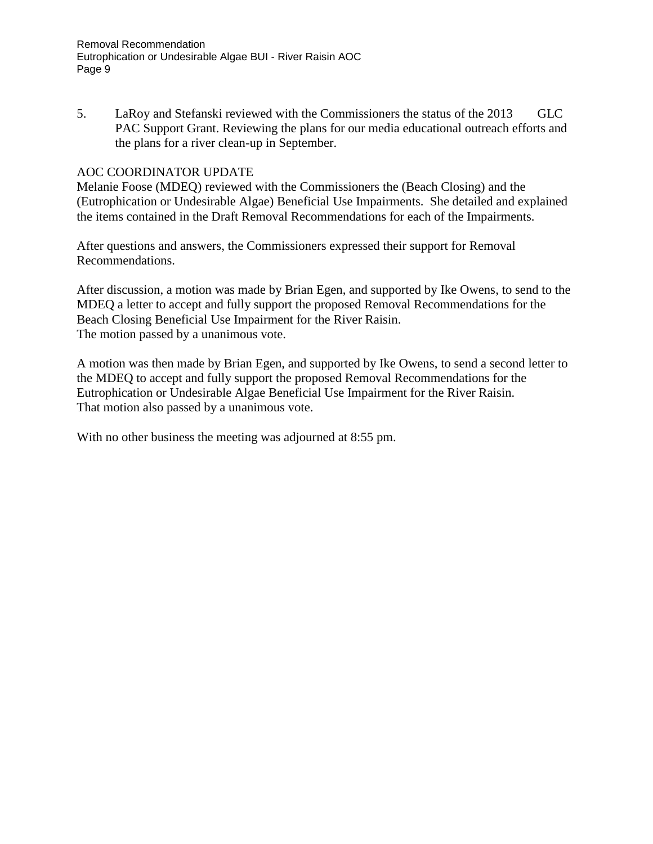5. LaRoy and Stefanski reviewed with the Commissioners the status of the 2013 GLC PAC Support Grant. Reviewing the plans for our media educational outreach efforts and the plans for a river clean-up in September.

### AOC COORDINATOR UPDATE

Melanie Foose (MDEQ) reviewed with the Commissioners the (Beach Closing) and the (Eutrophication or Undesirable Algae) Beneficial Use Impairments. She detailed and explained the items contained in the Draft Removal Recommendations for each of the Impairments.

After questions and answers, the Commissioners expressed their support for Removal Recommendations.

After discussion, a motion was made by Brian Egen, and supported by Ike Owens, to send to the MDEQ a letter to accept and fully support the proposed Removal Recommendations for the Beach Closing Beneficial Use Impairment for the River Raisin. The motion passed by a unanimous vote.

A motion was then made by Brian Egen, and supported by Ike Owens, to send a second letter to the MDEQ to accept and fully support the proposed Removal Recommendations for the Eutrophication or Undesirable Algae Beneficial Use Impairment for the River Raisin. That motion also passed by a unanimous vote.

With no other business the meeting was adjourned at 8:55 pm.